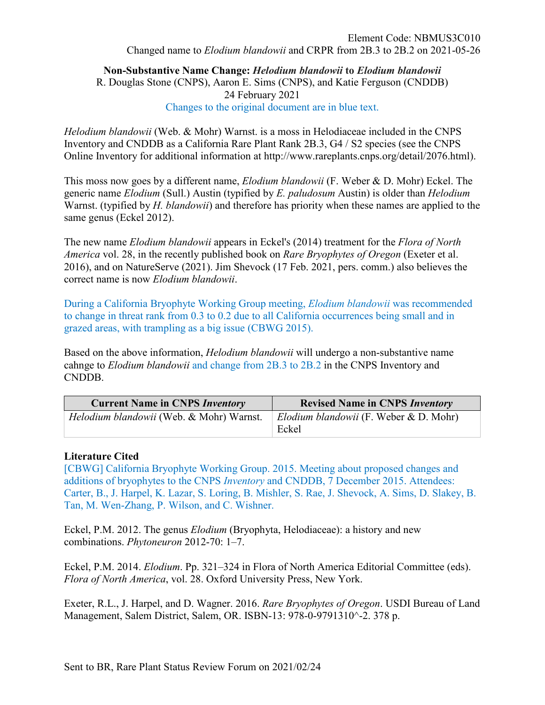**Non-Substantive Name Change:** *Helodium blandowii* **to** *Elodium blandowii* R. Douglas Stone (CNPS), Aaron E. Sims (CNPS), and Katie Ferguson (CNDDB) 24 February 2021 Changes to the original document are in blue text.

*Helodium blandowii* (Web. & Mohr) Warnst. is a moss in Helodiaceae included in the CNPS Inventory and CNDDB as a California Rare Plant Rank 2B.3, G4 / S2 species (see the CNPS Online Inventory for additional information at http://www.rareplants.cnps.org/detail/2076.html).

This moss now goes by a different name, *Elodium blandowii* (F. Weber & D. Mohr) Eckel. The generic name *Elodium* (Sull.) Austin (typified by *E. paludosum* Austin) is older than *Helodium* Warnst. (typified by *H. blandowii*) and therefore has priority when these names are applied to the same genus (Eckel 2012).

The new name *Elodium blandowii* appears in Eckel's (2014) treatment for the *Flora of North America* vol. 28, in the recently published book on *Rare Bryophytes of Oregon* (Exeter et al. 2016), and on NatureServe (2021). Jim Shevock (17 Feb. 2021, pers. comm.) also believes the correct name is now *Elodium blandowii*.

During a California Bryophyte Working Group meeting, *Elodium blandowii* was recommended to change in threat rank from 0.3 to 0.2 due to all California occurrences being small and in grazed areas, with trampling as a big issue (CBWG 2015).

Based on the above information, *Helodium blandowii* will undergo a non-substantive name cahnge to *Elodium blandowii* and change from 2B.3 to 2B.2 in the CNPS Inventory and CNDDB.

| <b>Current Name in CNPS Inventory</b>    | <b>Revised Name in CNPS Inventory</b>                  |
|------------------------------------------|--------------------------------------------------------|
| Helodium blandowii (Web. & Mohr) Warnst. | <i>Elodium blandowii</i> (F. Weber & D. Mohr)<br>Eckel |

## **Literature Cited**

[CBWG] California Bryophyte Working Group. 2015. Meeting about proposed changes and additions of bryophytes to the CNPS *Inventory* and CNDDB, 7 December 2015. Attendees: Carter, B., J. Harpel, K. Lazar, S. Loring, B. Mishler, S. Rae, J. Shevock, A. Sims, D. Slakey, B. Tan, M. Wen-Zhang, P. Wilson, and C. Wishner.

Eckel, P.M. 2012. The genus *Elodium* (Bryophyta, Helodiaceae): a history and new combinations. *Phytoneuron* 2012-70: 1–7.

Eckel, P.M. 2014. *Elodium*. Pp. 321–324 in Flora of North America Editorial Committee (eds). *Flora of North America*, vol. 28. Oxford University Press, New York.

Exeter, R.L., J. Harpel, and D. Wagner. 2016. *Rare Bryophytes of Oregon*. USDI Bureau of Land Management, Salem District, Salem, OR. ISBN-13: 978-0-9791310^-2. 378 p.